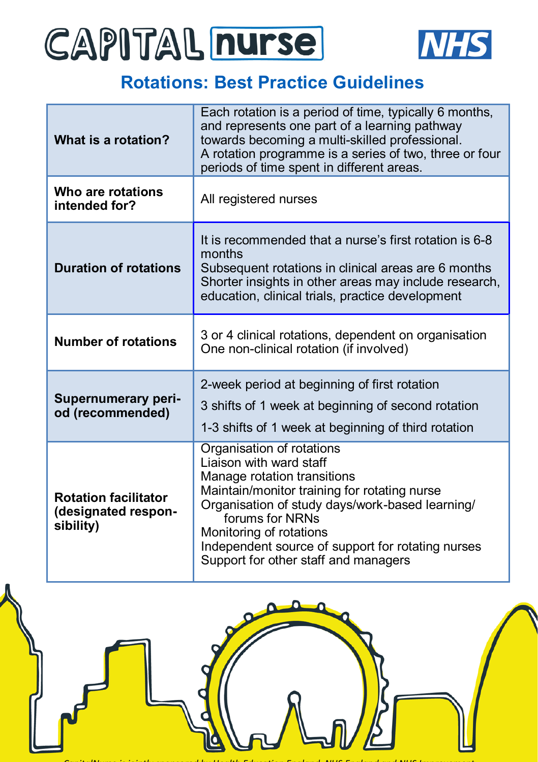## CAPITAL nurse



### **Rotations: Best Practice Guidelines**

| What is a rotation?                                             | Each rotation is a period of time, typically 6 months,<br>and represents one part of a learning pathway<br>towards becoming a multi-skilled professional.<br>A rotation programme is a series of two, three or four<br>periods of time spent in different areas.                                                                  |
|-----------------------------------------------------------------|-----------------------------------------------------------------------------------------------------------------------------------------------------------------------------------------------------------------------------------------------------------------------------------------------------------------------------------|
| Who are rotations<br>intended for?                              | All registered nurses                                                                                                                                                                                                                                                                                                             |
| <b>Duration of rotations</b>                                    | It is recommended that a nurse's first rotation is 6-8<br>months<br>Subsequent rotations in clinical areas are 6 months<br>Shorter insights in other areas may include research,<br>education, clinical trials, practice development                                                                                              |
| <b>Number of rotations</b>                                      | 3 or 4 clinical rotations, dependent on organisation<br>One non-clinical rotation (if involved)                                                                                                                                                                                                                                   |
| <b>Supernumerary peri-</b><br>od (recommended)                  | 2-week period at beginning of first rotation<br>3 shifts of 1 week at beginning of second rotation<br>1-3 shifts of 1 week at beginning of third rotation                                                                                                                                                                         |
| <b>Rotation facilitator</b><br>(designated respon-<br>sibility) | Organisation of rotations<br>Liaison with ward staff<br>Manage rotation transitions<br>Maintain/monitor training for rotating nurse<br>Organisation of study days/work-based learning/<br>forums for NRNs<br>Monitoring of rotations<br>Independent source of support for rotating nurses<br>Support for other staff and managers |